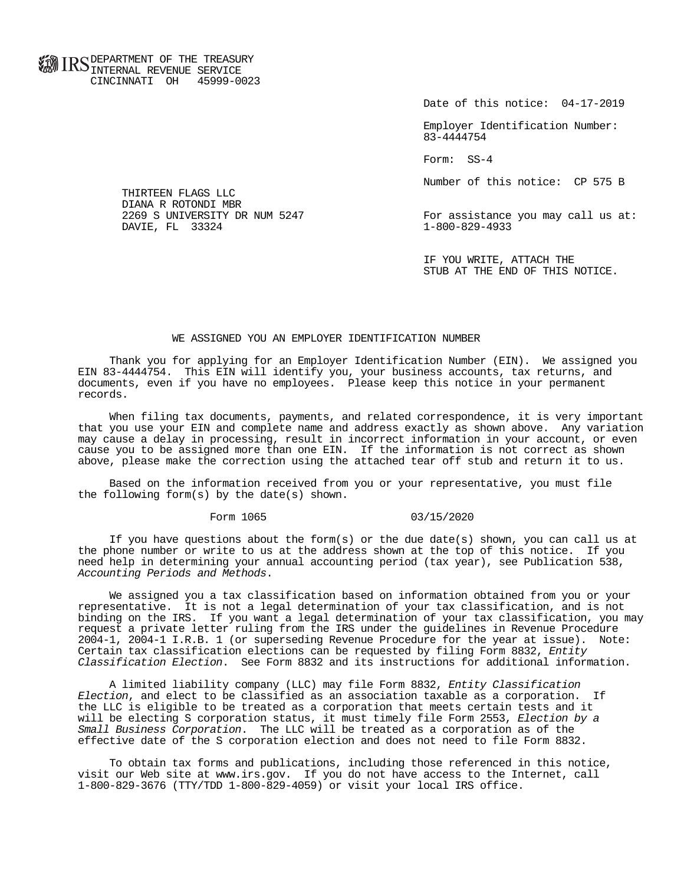**FOR ID C** DEPARTMENT OF THE TREASURY **WWW IIND** INTERNAL REVENUE SERVICE CINCINNATI OH 45999-0023

Date of this notice: 04-17-2019

 Employer Identification Number: 83-4444754

Form: SS-4

Number of this notice: CP 575 B

For assistance you may call us at:<br>1-800-829-4933

 IF YOU WRITE, ATTACH THE STUB AT THE END OF THIS NOTICE.

## WE ASSIGNED YOU AN EMPLOYER IDENTIFICATION NUMBER

 Thank you for applying for an Employer Identification Number (EIN). We assigned you EIN 83-4444754. This EIN will identify you, your business accounts, tax returns, and documents, even if you have no employees. Please keep this notice in your permanent records.

 When filing tax documents, payments, and related correspondence, it is very important that you use your EIN and complete name and address exactly as shown above. Any variation may cause a delay in processing, result in incorrect information in your account, or even cause you to be assigned more than one EIN. If the information is not correct as shown above, please make the correction using the attached tear off stub and return it to us.

 Based on the information received from you or your representative, you must file the following form(s) by the date(s) shown.

## Form 1065 03/15/2020

If you have questions about the form(s) or the due date(s) shown, you can call us at the phone number or write to us at the address shown at the top of this notice. If you need help in determining your annual accounting period (tax year), see Publication 538, Accounting Periods and Methods.

 We assigned you a tax classification based on information obtained from you or your representative. It is not a legal determination of your tax classification, and is not binding on the IRS. If you want a legal determination of your tax classification, you may request a private letter ruling from the IRS under the guidelines in Revenue Procedure 2004-1, 2004-1 I.R.B. 1 (or superseding Revenue Procedure for the year at issue). Note: Certain tax classification elections can be requested by filing Form 8832, Entity Classification Election. See Form 8832 and its instructions for additional information.

 A limited liability company (LLC) may file Form 8832, Entity Classification Election, and elect to be classified as an association taxable as a corporation. If the LLC is eligible to be treated as a corporation that meets certain tests and it will be electing S corporation status, it must timely file Form 2553, Election by a Small Business Corporation. The LLC will be treated as a corporation as of the effective date of the S corporation election and does not need to file Form 8832.

 To obtain tax forms and publications, including those referenced in this notice, visit our Web site at www.irs.gov. If you do not have access to the Internet, call 1-800-829-3676 (TTY/TDD 1-800-829-4059) or visit your local IRS office.

 THIRTEEN FLAGS LLC DIANA R ROTONDI MBR<br>2269 S UNIVERSITY DR NUM 5247 DAVIE, FL 33324